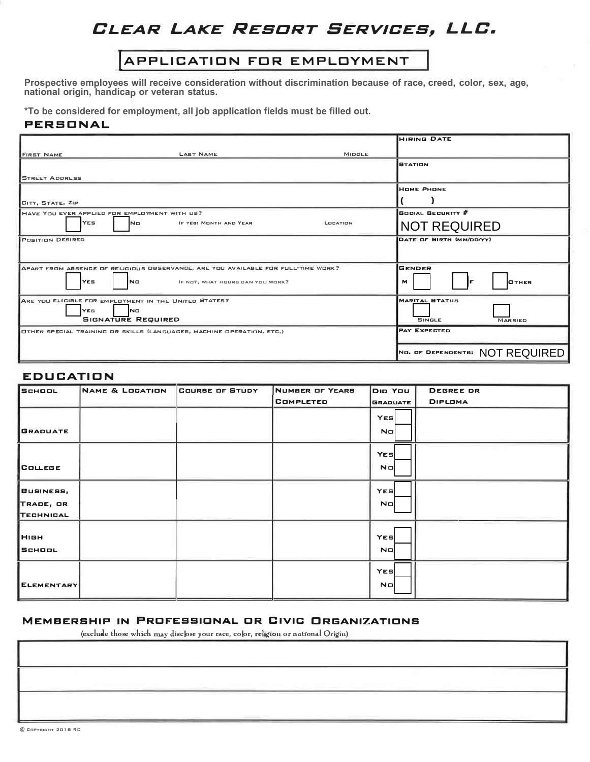# **CLEAR LAKE RESORT SERVICES, LLC.**

## (APPLICATION FDR EMPLOYMENT

**Prospective employees will receive consideration without discrimination because of race, creed, color, sex, age, national origin, handicap or veteran status.** 

**\*To be considered for employment, all job application fields must be filled out.**

#### **PERSONAL**

|                                                                                   | <b>HIRING DATE</b>              |
|-----------------------------------------------------------------------------------|---------------------------------|
| <b>LAST NAME</b><br><b>MIDDLE</b><br><b>FIRST NAME</b>                            |                                 |
|                                                                                   | <b>BTATION</b>                  |
| <b>STREET ADDRESS</b>                                                             |                                 |
|                                                                                   | <b>HOME PHONE</b>               |
| CITY, STATE, ZIP                                                                  |                                 |
| HAVE YOU EVER APPLIED FOR EMPLOYMENT WITH US?                                     | <b>BOCIAL BECURITY #</b>        |
| <b>IYES</b><br>N <sub>D</sub><br>IF YEB: MONTH AND YEAR<br>LOCATION               | <b>NOT REQUIRED</b>             |
| <b>POSITION DESIRED</b>                                                           | DATE OF BIRTH (MM/DD/YY)        |
|                                                                                   |                                 |
| APART FROM ABSENCE OF RELIGIOUS OBSERVANCE, ARE YOU AVAILABLE FOR FULL-TIME WORK? | <b>GENDER</b>                   |
| lYE5<br>INO<br>IF NOT, WHAT HOURS CAN YOU WORK?                                   | м<br><b>OTHER</b>               |
| ARE YOU ELIGIBLE FOR EMPLOYMENT IN THE UNITED STATES?                             | <b>MARITAL STATUS</b>           |
| <b>YES</b><br><b>No</b><br><b>SIGNATURE REQUIRED</b>                              | <b>SINGLE</b><br><b>MARRIED</b> |
| OTHER SPECIAL TRAINING OR SKILLS (LANGUAGES, MACHINE OPERATION, ETC.)             | <b>PAY EXPECTED</b>             |
|                                                                                   |                                 |
|                                                                                   | NO. OF DEPENDENTS: NOT REQUIRED |

#### **EDUCATION**

| <b>SCHOOL</b>    | <b>NAME &amp; LOCATION</b> | COURSE OF STUDY | <b>NUMBER OF YEARS</b> | DID YOU                 | <b>DEGREE DR</b> |
|------------------|----------------------------|-----------------|------------------------|-------------------------|------------------|
|                  |                            |                 | <b>COMPLETED</b>       | <b>GRADUATE</b>         | <b>DIPLOMA</b>   |
|                  |                            |                 |                        | <b>YES</b>              |                  |
| <b>GRADUATE</b>  |                            |                 |                        | No                      |                  |
|                  |                            |                 |                        | <b>YES</b>              |                  |
| <b>COLLEGE</b>   |                            |                 |                        | <b>No</b>               |                  |
| BUSINESS,        |                            |                 |                        | <b>YES</b>              |                  |
| TRADE, OR        |                            |                 |                        | <b>No</b>               |                  |
| TECHNICAL        |                            |                 |                        |                         |                  |
| HIGH<br>  SCHOOL |                            |                 |                        | <b>YES</b><br><b>ND</b> |                  |
|                  |                            |                 |                        |                         |                  |
|                  |                            |                 |                        | <b>YES</b>              |                  |
| ELEMENTARY       |                            |                 |                        | <b>No</b>               |                  |

#### **MEMBERSHIP IN PRCF'ESSICNAL CR CIVIC ORGANIZATICNS**

(exclude those which may disclose your race, color, religion or national Origin)